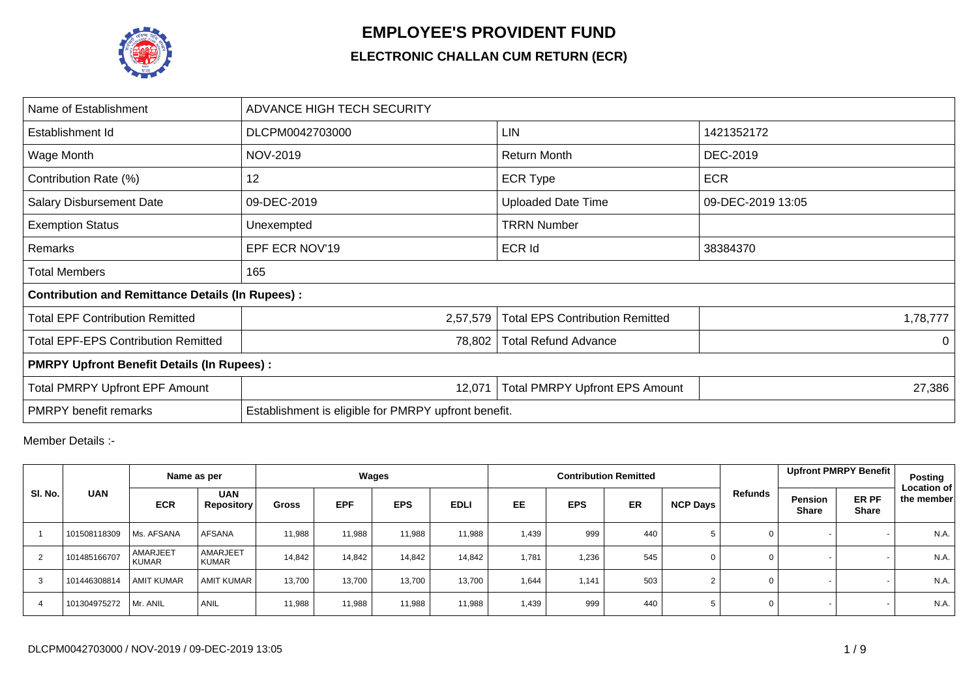

## **EMPLOYEE'S PROVIDENT FUND**

## **ELECTRONIC CHALLAN CUM RETURN (ECR)**

| Name of Establishment                                   | ADVANCE HIGH TECH SECURITY                           |                                        |                   |  |  |  |  |  |  |  |  |
|---------------------------------------------------------|------------------------------------------------------|----------------------------------------|-------------------|--|--|--|--|--|--|--|--|
| Establishment Id                                        | DLCPM0042703000                                      | LIN                                    | 1421352172        |  |  |  |  |  |  |  |  |
| Wage Month                                              | NOV-2019                                             | <b>Return Month</b>                    | DEC-2019          |  |  |  |  |  |  |  |  |
| Contribution Rate (%)                                   | 12                                                   | <b>ECR Type</b>                        | <b>ECR</b>        |  |  |  |  |  |  |  |  |
| <b>Salary Disbursement Date</b>                         | 09-DEC-2019                                          | <b>Uploaded Date Time</b>              | 09-DEC-2019 13:05 |  |  |  |  |  |  |  |  |
| <b>Exemption Status</b>                                 | Unexempted                                           | <b>TRRN Number</b>                     |                   |  |  |  |  |  |  |  |  |
| Remarks                                                 | EPF ECR NOV'19                                       | <b>ECR Id</b>                          | 38384370          |  |  |  |  |  |  |  |  |
| <b>Total Members</b>                                    | 165                                                  |                                        |                   |  |  |  |  |  |  |  |  |
| <b>Contribution and Remittance Details (In Rupees):</b> |                                                      |                                        |                   |  |  |  |  |  |  |  |  |
| <b>Total EPF Contribution Remitted</b>                  | 2,57,579                                             | <b>Total EPS Contribution Remitted</b> | 1,78,777          |  |  |  |  |  |  |  |  |
| <b>Total EPF-EPS Contribution Remitted</b>              | 78,802                                               | <b>Total Refund Advance</b>            | $\Omega$          |  |  |  |  |  |  |  |  |
| <b>PMRPY Upfront Benefit Details (In Rupees):</b>       |                                                      |                                        |                   |  |  |  |  |  |  |  |  |
| <b>Total PMRPY Upfront EPF Amount</b>                   | 12,071                                               | <b>Total PMRPY Upfront EPS Amount</b>  | 27,386            |  |  |  |  |  |  |  |  |
| <b>PMRPY</b> benefit remarks                            | Establishment is eligible for PMRPY upfront benefit. |                                        |                   |  |  |  |  |  |  |  |  |

Member Details :-

|         |              |                          | Name as per              |              |            | Wages      |             |           |            | <b>Contribution Remitted</b> |                 |             |                                | Upfront PMRPY Benefit | Posting                          |
|---------|--------------|--------------------------|--------------------------|--------------|------------|------------|-------------|-----------|------------|------------------------------|-----------------|-------------|--------------------------------|-----------------------|----------------------------------|
| SI. No. | <b>UAN</b>   | <b>ECR</b>               | <b>UAN</b><br>Repository | <b>Gross</b> | <b>EPF</b> | <b>EPS</b> | <b>EDLI</b> | <b>EE</b> | <b>EPS</b> | <b>ER</b>                    | <b>NCP Days</b> | Refunds     | <b>Pension</b><br><b>Share</b> | ER PF<br><b>Share</b> | <b>Location of</b><br>the member |
|         | 101508118309 | Ms. AFSANA               | AFSANA                   | 11,988       | 11,988     | 11,988     | 11,988      | 1.439     | 999        | 440                          |                 | 0           |                                |                       | N.A.                             |
| 2       | 101485166707 | AMARJEET<br><b>KUMAR</b> | AMARJEET<br>KUMAR        | 14,842       | 14,842     | 14,842     | 14,842      | 1,781     | 1,236      | 545                          | 0               | 0           |                                |                       | N.A.                             |
| 3       | 101446308814 | <b>AMIT KUMAR</b>        | <b>AMIT KUMAR</b>        | 13,700       | 13.700     | 13,700     | 13.700      | 1,644     | 1.141      | 503                          |                 | 0           |                                |                       | N.A.                             |
| 4       | 101304975272 | Mr. ANIL                 | ANIL                     | 11,988       | 11,988     | 11,988     | 11,988      | 1,439     | 999        | 440                          |                 | $\mathbf 0$ |                                |                       | N.A.                             |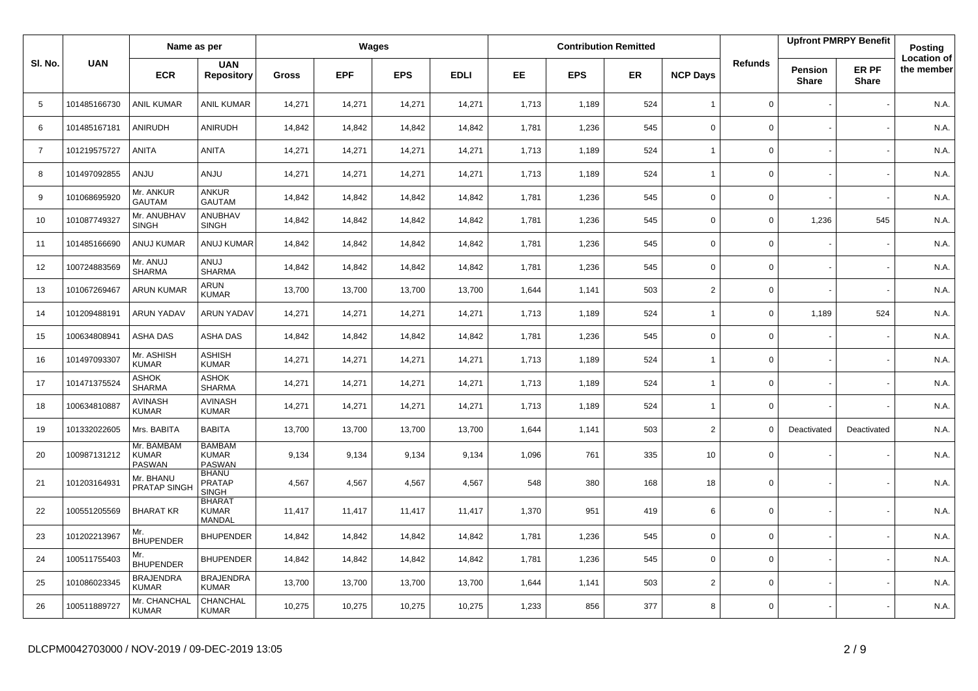|                |              | Name as per                          |                                                |              |            | Wages      |             |           |            | <b>Contribution Remitted</b> |                 |                |                                | <b>Upfront PMRPY Benefit</b> | Posting                          |
|----------------|--------------|--------------------------------------|------------------------------------------------|--------------|------------|------------|-------------|-----------|------------|------------------------------|-----------------|----------------|--------------------------------|------------------------------|----------------------------------|
| SI. No.        | <b>UAN</b>   | <b>ECR</b>                           | <b>UAN</b><br><b>Repository</b>                | <b>Gross</b> | <b>EPF</b> | <b>EPS</b> | <b>EDLI</b> | <b>EE</b> | <b>EPS</b> | <b>ER</b>                    | <b>NCP Days</b> | <b>Refunds</b> | <b>Pension</b><br><b>Share</b> | ER PF<br><b>Share</b>        | <b>Location of</b><br>the member |
| 5              | 101485166730 | <b>ANIL KUMAR</b>                    | <b>ANIL KUMAR</b>                              | 14,271       | 14,271     | 14,271     | 14,271      | 1,713     | 1,189      | 524                          | $\overline{1}$  | $\mathbf 0$    |                                |                              | N.A.                             |
| 6              | 101485167181 | ANIRUDH                              | ANIRUDH                                        | 14,842       | 14,842     | 14,842     | 14,842      | 1,781     | 1,236      | 545                          | $\mathbf 0$     | $\mathbf 0$    |                                |                              | N.A.                             |
| $\overline{7}$ | 101219575727 | ANITA                                | <b>ANITA</b>                                   | 14,271       | 14,271     | 14,271     | 14,271      | 1,713     | 1,189      | 524                          | $\overline{1}$  | 0              |                                |                              | N.A.                             |
| 8              | 101497092855 | <b>ANJU</b>                          | <b>ANJU</b>                                    | 14,271       | 14,271     | 14,271     | 14,271      | 1,713     | 1,189      | 524                          | $\overline{1}$  | 0              |                                |                              | N.A.                             |
| 9              | 101068695920 | Mr. ANKUR<br><b>GAUTAM</b>           | ANKUR<br><b>GAUTAM</b>                         | 14,842       | 14,842     | 14,842     | 14,842      | 1,781     | 1,236      | 545                          | 0               | 0              |                                |                              | N.A.                             |
| 10             | 101087749327 | Mr. ANUBHAV<br><b>SINGH</b>          | ANUBHAV<br><b>SINGH</b>                        | 14,842       | 14,842     | 14,842     | 14,842      | 1,781     | 1,236      | 545                          | $\mathsf 0$     | 0              | 1,236                          | 545                          | N.A.                             |
| 11             | 101485166690 | ANUJ KUMAR                           | <b>ANUJ KUMAR</b>                              | 14,842       | 14,842     | 14,842     | 14,842      | 1,781     | 1,236      | 545                          | $\mathbf 0$     | 0              |                                |                              | N.A.                             |
| 12             | 100724883569 | Mr. ANUJ<br><b>SHARMA</b>            | LUIA<br><b>SHARMA</b>                          | 14,842       | 14,842     | 14,842     | 14,842      | 1,781     | 1,236      | 545                          | $\mathbf 0$     | 0              |                                |                              | N.A.                             |
| 13             | 101067269467 | <b>ARUN KUMAR</b>                    | ARUN<br><b>KUMAR</b>                           | 13,700       | 13,700     | 13,700     | 13,700      | 1,644     | 1,141      | 503                          | $\overline{2}$  | $\mathbf 0$    |                                |                              | N.A.                             |
| 14             | 101209488191 | <b>ARUN YADAV</b>                    | <b>ARUN YADAV</b>                              | 14,271       | 14,271     | 14,271     | 14,271      | 1,713     | 1,189      | 524                          | $\overline{1}$  | $\mathbf 0$    | 1,189                          | 524                          | N.A.                             |
| 15             | 100634808941 | <b>ASHA DAS</b>                      | ASHA DAS                                       | 14,842       | 14,842     | 14,842     | 14,842      | 1,781     | 1,236      | 545                          | $\mathbf 0$     | 0              |                                |                              | N.A.                             |
| 16             | 101497093307 | Mr. ASHISH<br><b>KUMAR</b>           | <b>ASHISH</b><br><b>KUMAR</b>                  | 14,271       | 14,271     | 14,271     | 14,271      | 1,713     | 1,189      | 524                          | $\overline{1}$  | 0              |                                |                              | N.A.                             |
| 17             | 101471375524 | ASHOK<br><b>SHARMA</b>               | <b>ASHOK</b><br><b>SHARMA</b>                  | 14,271       | 14,271     | 14,271     | 14,271      | 1,713     | 1,189      | 524                          | $\overline{1}$  | 0              |                                |                              | N.A.                             |
| 18             | 100634810887 | <b>AVINASH</b><br><b>KUMAR</b>       | <b>AVINASH</b><br><b>KUMAR</b>                 | 14,271       | 14,271     | 14,271     | 14,271      | 1,713     | 1,189      | 524                          | $\overline{1}$  | 0              |                                |                              | N.A.                             |
| 19             | 101332022605 | Mrs. BABITA                          | <b>BABITA</b>                                  | 13,700       | 13,700     | 13,700     | 13,700      | 1,644     | 1,141      | 503                          | $\overline{2}$  | $\Omega$       | Deactivated                    | Deactivated                  | N.A.                             |
| 20             | 100987131212 | Mr. BAMBAM<br><b>KUMAR</b><br>PASWAN | <b>BAMBAM</b><br><b>KUMAR</b><br><b>PASWAN</b> | 9,134        | 9,134      | 9,134      | 9,134       | 1,096     | 761        | 335                          | 10              | 0              |                                |                              | N.A.                             |
| 21             | 101203164931 | Mr. BHANU<br>PRATAP SINGH            | <b>BHANU</b><br><b>PRATAP</b><br><b>SINGH</b>  | 4,567        | 4,567      | 4,567      | 4,567       | 548       | 380        | 168                          | 18              | $\mathbf 0$    |                                |                              | N.A.                             |
| 22             | 100551205569 | <b>BHARAT KR</b>                     | <b>BHARAT</b><br><b>KUMAR</b><br><b>MANDAL</b> | 11,417       | 11,417     | 11,417     | 11,417      | 1,370     | 951        | 419                          | 6               | 0              |                                |                              | N.A.                             |
| 23             | 101202213967 | Mr.<br><b>BHUPENDER</b>              | <b>BHUPENDER</b>                               | 14,842       | 14,842     | 14,842     | 14,842      | 1,781     | 1,236      | 545                          | $\Omega$        | $\mathbf 0$    |                                |                              | N.A.                             |
| 24             | 100511755403 | Mr.<br><b>BHUPENDER</b>              | <b>BHUPENDER</b>                               | 14,842       | 14,842     | 14,842     | 14,842      | 1,781     | 1,236      | 545                          | $\mathbf 0$     | 0              |                                |                              | N.A.                             |
| 25             | 101086023345 | <b>BRAJENDRA</b><br><b>KUMAR</b>     | <b>BRAJENDRA</b><br><b>KUMAR</b>               | 13,700       | 13,700     | 13,700     | 13,700      | 1,644     | 1,141      | 503                          | $\overline{2}$  | 0              |                                |                              | N.A.                             |
| 26             | 100511889727 | Mr. CHANCHAL<br><b>KUMAR</b>         | CHANCHAL<br><b>KUMAR</b>                       | 10,275       | 10,275     | 10,275     | 10,275      | 1,233     | 856        | 377                          | 8               | 0              |                                |                              | N.A.                             |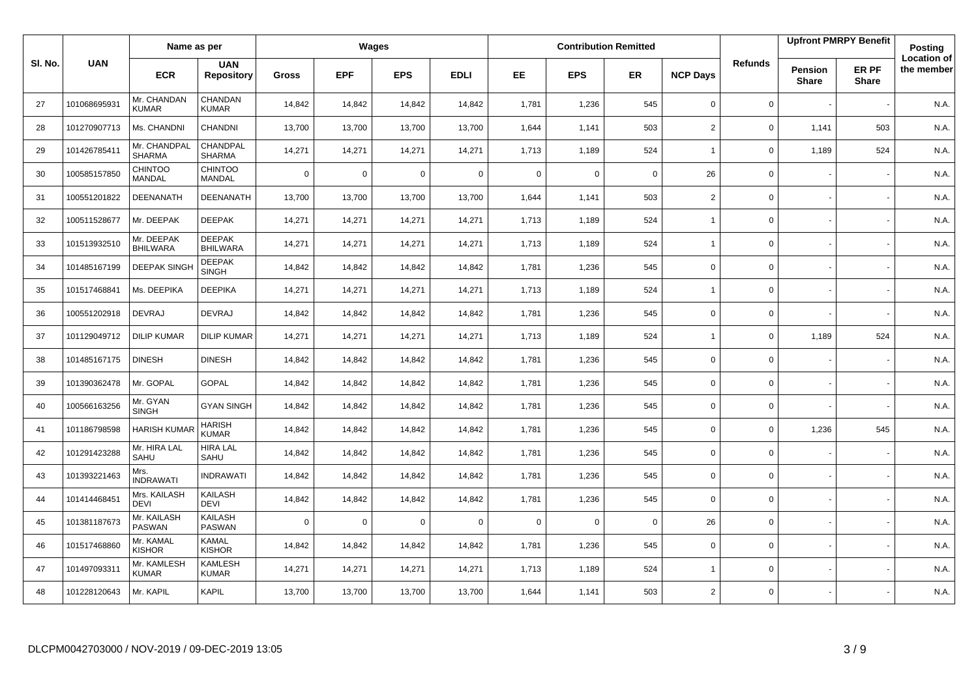|         |              | Name as per                     |                                  |              |             | Wages      |             |             |            | <b>Contribution Remitted</b> |                          |                |                         | <b>Upfront PMRPY Benefit</b> | Posting                          |
|---------|--------------|---------------------------------|----------------------------------|--------------|-------------|------------|-------------|-------------|------------|------------------------------|--------------------------|----------------|-------------------------|------------------------------|----------------------------------|
| SI. No. | <b>UAN</b>   | <b>ECR</b>                      | <b>UAN</b><br><b>Repository</b>  | <b>Gross</b> | <b>EPF</b>  | <b>EPS</b> | <b>EDLI</b> | <b>EE</b>   | <b>EPS</b> | <b>ER</b>                    | <b>NCP Days</b>          | <b>Refunds</b> | Pension<br><b>Share</b> | ER PF<br><b>Share</b>        | <b>Location of</b><br>the member |
| 27      | 101068695931 | Mr. CHANDAN<br><b>KUMAR</b>     | CHANDAN<br><b>KUMAR</b>          | 14,842       | 14,842      | 14,842     | 14,842      | 1,781       | 1,236      | 545                          | $\mathbf 0$              | 0              |                         |                              | N.A.                             |
| 28      | 101270907713 | Ms. CHANDNI                     | <b>CHANDNI</b>                   | 13,700       | 13,700      | 13,700     | 13,700      | 1,644       | 1,141      | 503                          | $\overline{\mathbf{c}}$  | 0              | 1,141                   | 503                          | N.A.                             |
| 29      | 101426785411 | Mr. CHANDPAL<br><b>SHARMA</b>   | CHANDPAL<br><b>SHARMA</b>        | 14,271       | 14,271      | 14,271     | 14,271      | 1,713       | 1,189      | 524                          | $\overline{1}$           | 0              | 1,189                   | 524                          | N.A.                             |
| 30      | 100585157850 | <b>CHINTOO</b><br><b>MANDAL</b> | <b>CHINTOO</b><br><b>MANDAL</b>  | $\mathbf 0$  | $\mathbf 0$ | 0          | $\mathbf 0$ | $\mathbf 0$ | 0          | $\mathbf 0$                  | 26                       | 0              |                         |                              | N.A.                             |
| 31      | 100551201822 | DEENANATH                       | <b>DEENANATH</b>                 | 13,700       | 13,700      | 13,700     | 13,700      | 1,644       | 1,141      | 503                          | $\overline{2}$           | 0              |                         |                              | N.A.                             |
| 32      | 100511528677 | Mr. DEEPAK                      | <b>DEEPAK</b>                    | 14,271       | 14,271      | 14,271     | 14,271      | 1,713       | 1,189      | 524                          | $\overline{\phantom{a}}$ | 0              |                         |                              | N.A.                             |
| 33      | 101513932510 | Mr. DEEPAK<br><b>BHILWARA</b>   | <b>DEEPAK</b><br><b>BHILWARA</b> | 14,271       | 14,271      | 14,271     | 14,271      | 1,713       | 1,189      | 524                          | $\overline{1}$           | 0              |                         |                              | N.A.                             |
| 34      | 101485167199 | <b>DEEPAK SINGH</b>             | <b>DEEPAK</b><br><b>SINGH</b>    | 14,842       | 14,842      | 14,842     | 14,842      | 1,781       | 1,236      | 545                          | $\Omega$                 | $\mathbf 0$    |                         |                              | N.A.                             |
| 35      | 101517468841 | Ms. DEEPIKA                     | <b>DEEPIKA</b>                   | 14,271       | 14,271      | 14,271     | 14,271      | 1,713       | 1,189      | 524                          | $\overline{1}$           | 0              |                         |                              | N.A.                             |
| 36      | 100551202918 | <b>DEVRAJ</b>                   | <b>DEVRAJ</b>                    | 14,842       | 14,842      | 14,842     | 14,842      | 1,781       | 1,236      | 545                          | $\mathbf 0$              | 0              |                         |                              | N.A.                             |
| 37      | 101129049712 | <b>DILIP KUMAR</b>              | <b>DILIP KUMAR</b>               | 14,271       | 14,271      | 14,271     | 14,271      | 1,713       | 1,189      | 524                          | $\overline{1}$           | 0              | 1,189                   | 524                          | N.A.                             |
| 38      | 101485167175 | <b>DINESH</b>                   | <b>DINESH</b>                    | 14,842       | 14,842      | 14,842     | 14,842      | 1,781       | 1,236      | 545                          | $\mathbf 0$              | 0              |                         |                              | N.A.                             |
| 39      | 101390362478 | Mr. GOPAL                       | <b>GOPAL</b>                     | 14,842       | 14,842      | 14,842     | 14,842      | 1,781       | 1,236      | 545                          | $\mathsf 0$              | 0              |                         |                              | N.A.                             |
| 40      | 100566163256 | Mr. GYAN<br><b>SINGH</b>        | <b>GYAN SINGH</b>                | 14,842       | 14,842      | 14,842     | 14,842      | 1,781       | 1,236      | 545                          | $\mathbf 0$              | $\mathbf 0$    |                         |                              | N.A.                             |
| 41      | 101186798598 | <b>HARISH KUMA</b>              | HARISH<br><b>KUMAR</b>           | 14,842       | 14,842      | 14,842     | 14,842      | 1,781       | 1,236      | 545                          | $\mathsf 0$              | $\mathbf{0}$   | 1,236                   | 545                          | N.A.                             |
| 42      | 101291423288 | Mr. HIRA LAL<br>SAHU            | <b>HIRA LAL</b><br>SAHU          | 14,842       | 14,842      | 14,842     | 14,842      | 1,781       | 1,236      | 545                          | $\mathbf 0$              | 0              |                         |                              | N.A.                             |
| 43      | 101393221463 | Mrs.<br><b>INDRAWATI</b>        | <b>INDRAWATI</b>                 | 14,842       | 14,842      | 14,842     | 14,842      | 1,781       | 1,236      | 545                          | $\mathbf 0$              | 0              |                         |                              | N.A.                             |
| 44      | 101414468451 | Mrs. KAILASH<br><b>DEVI</b>     | KAILASH<br><b>DEVI</b>           | 14,842       | 14,842      | 14,842     | 14,842      | 1,781       | 1,236      | 545                          | $\mathbf 0$              | 0              |                         |                              | N.A.                             |
| 45      | 101381187673 | Mr. KAILASH<br><b>PASWAN</b>    | KAILASH<br><b>PASWAN</b>         | $\mathbf 0$  | $\mathbf 0$ | 0          | $\mathbf 0$ | $\mathbf 0$ | 0          | $\mathbf 0$                  | 26                       | 0              |                         |                              | N.A.                             |
| 46      | 101517468860 | Mr. KAMAL<br><b>KISHOR</b>      | <b>KAMAL</b><br><b>KISHOR</b>    | 14,842       | 14,842      | 14,842     | 14,842      | 1,781       | 1,236      | 545                          | $\mathbf 0$              | $\mathbf{0}$   |                         |                              | N.A.                             |
| 47      | 101497093311 | Mr. KAMLESH<br><b>KUMAR</b>     | <b>KAMLESH</b><br><b>KUMAR</b>   | 14,271       | 14,271      | 14,271     | 14,271      | 1,713       | 1,189      | 524                          | $\overline{1}$           | 0              |                         |                              | N.A.                             |
| 48      | 101228120643 | Mr. KAPIL                       | KAPIL                            | 13,700       | 13,700      | 13,700     | 13,700      | 1,644       | 1,141      | 503                          | $\overline{2}$           | 0              |                         |                              | N.A.                             |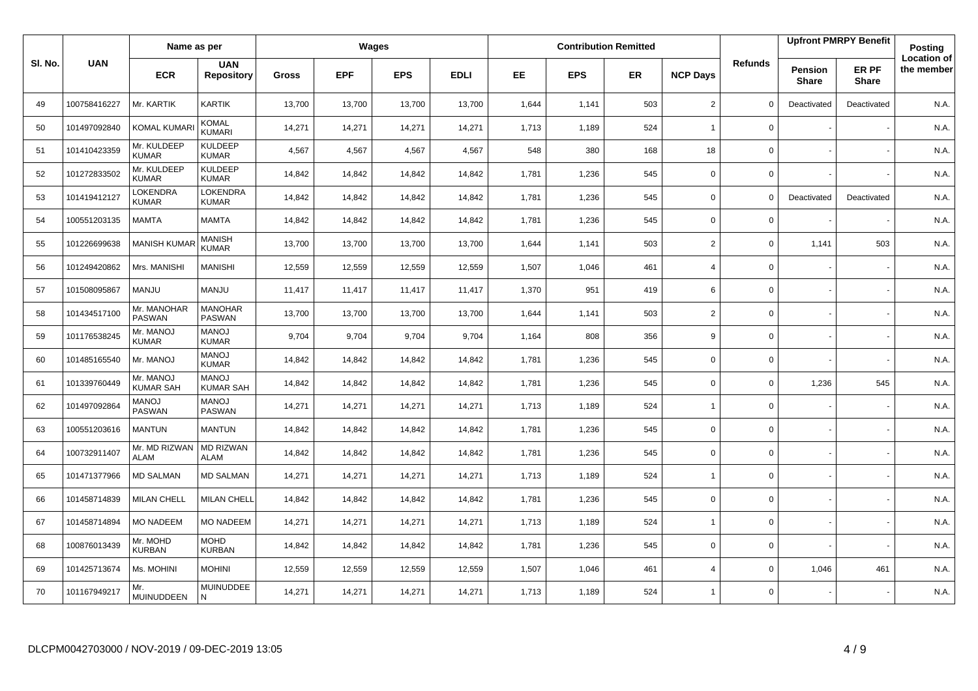|         |              | Name as per                   |                                  |              |            | Wages      |             |           |            | <b>Contribution Remitted</b> |                 |                |                                | <b>Upfront PMRPY Benefit</b> | Posting                          |
|---------|--------------|-------------------------------|----------------------------------|--------------|------------|------------|-------------|-----------|------------|------------------------------|-----------------|----------------|--------------------------------|------------------------------|----------------------------------|
| SI. No. | <b>UAN</b>   | <b>ECR</b>                    | <b>UAN</b><br><b>Repository</b>  | <b>Gross</b> | <b>EPF</b> | <b>EPS</b> | <b>EDLI</b> | <b>EE</b> | <b>EPS</b> | <b>ER</b>                    | <b>NCP Days</b> | <b>Refunds</b> | <b>Pension</b><br><b>Share</b> | ER PF<br><b>Share</b>        | <b>Location of</b><br>the member |
| 49      | 100758416227 | Mr. KARTIK                    | <b>KARTIK</b>                    | 13,700       | 13,700     | 13,700     | 13,700      | 1,644     | 1,141      | 503                          | $\overline{2}$  | $\Omega$       | Deactivated                    | Deactivated                  | N.A.                             |
| 50      | 101497092840 | <b>KOMAL KUMAF</b>            | KOMAL<br>KUMARI                  | 14,271       | 14,271     | 14,271     | 14,271      | 1,713     | 1,189      | 524                          | $\overline{1}$  | 0              |                                |                              | N.A.                             |
| 51      | 101410423359 | Mr. KULDEEP<br><b>KUMAR</b>   | <b>KULDEEP</b><br><b>KUMAR</b>   | 4,567        | 4,567      | 4,567      | 4,567       | 548       | 380        | 168                          | 18              | 0              |                                |                              | N.A.                             |
| 52      | 101272833502 | Mr. KULDEEP<br><b>KUMAR</b>   | <b>KULDEEP</b><br><b>KUMAR</b>   | 14,842       | 14,842     | 14,842     | 14,842      | 1,781     | 1,236      | 545                          | $\mathbf 0$     | $\mathbf{0}$   |                                |                              | N.A.                             |
| 53      | 101419412127 | LOKENDRA<br><b>KUMAR</b>      | <b>LOKENDRA</b><br><b>KUMAR</b>  | 14,842       | 14,842     | 14,842     | 14,842      | 1,781     | 1,236      | 545                          | $\mathbf 0$     | 0              | Deactivated                    | Deactivated                  | N.A.                             |
| 54      | 100551203135 | MAMTA                         | <b>MAMTA</b>                     | 14,842       | 14,842     | 14,842     | 14,842      | 1,781     | 1,236      | 545                          | 0               | 0              |                                |                              | N.A.                             |
| 55      | 101226699638 | <b>MANISH KUMA</b>            | MANISH<br><b>KUMAR</b>           | 13,700       | 13,700     | 13.700     | 13,700      | 1,644     | 1.141      | 503                          | $\overline{2}$  | 0              | 1,141                          | 503                          | N.A.                             |
| 56      | 101249420862 | Mrs. MANISHI                  | <b>MANISHI</b>                   | 12,559       | 12,559     | 12,559     | 12,559      | 1,507     | 1,046      | 461                          | $\overline{4}$  | 0              |                                |                              | N.A.                             |
| 57      | 101508095867 | <b>MANJU</b>                  | MANJU                            | 11,417       | 11,417     | 11,417     | 11,417      | 1,370     | 951        | 419                          | 6               | 0              |                                |                              | N.A.                             |
| 58      | 101434517100 | Mr. MANOHAR<br><b>PASWAN</b>  | <b>MANOHAR</b><br>PASWAN         | 13,700       | 13,700     | 13,700     | 13,700      | 1,644     | 1,141      | 503                          | $\overline{2}$  | 0              |                                |                              | N.A.                             |
| 59      | 101176538245 | Mr. MANOJ<br><b>KUMAR</b>     | <b>MANOJ</b><br><b>KUMAR</b>     | 9,704        | 9,704      | 9.704      | 9,704       | 1,164     | 808        | 356                          | 9               | $\mathbf{0}$   |                                |                              | N.A.                             |
| 60      | 101485165540 | Mr. MANOJ                     | <b>MANOJ</b><br><b>KUMAR</b>     | 14,842       | 14,842     | 14,842     | 14,842      | 1,781     | 1,236      | 545                          | $\mathbf 0$     | 0              |                                |                              | N.A.                             |
| 61      | 101339760449 | Mr. MANOJ<br><b>KUMAR SAH</b> | <b>MANOJ</b><br><b>KUMAR SAH</b> | 14,842       | 14,842     | 14,842     | 14,842      | 1,781     | 1,236      | 545                          | $\mathbf 0$     | 0              | 1,236                          | 545                          | N.A.                             |
| 62      | 101497092864 | <b>MANOJ</b><br><b>PASWAN</b> | <b>MANOJ</b><br><b>PASWAN</b>    | 14,271       | 14,271     | 14,271     | 14,271      | 1,713     | 1,189      | 524                          | $\overline{1}$  | 0              |                                |                              | N.A.                             |
| 63      | 100551203616 | <b>MANTUN</b>                 | <b>MANTUN</b>                    | 14,842       | 14,842     | 14,842     | 14,842      | 1,781     | 1,236      | 545                          | $\mathbf 0$     | 0              |                                |                              | N.A.                             |
| 64      | 100732911407 | Mr. MD RIZWAN<br><b>ALAM</b>  | <b>MD RIZWAN</b><br>ALAM         | 14,842       | 14,842     | 14,842     | 14,842      | 1,781     | 1,236      | 545                          | $\mathbf 0$     | $\mathbf 0$    |                                |                              | N.A.                             |
| 65      | 101471377966 | <b>MD SALMAN</b>              | <b>MD SALMAN</b>                 | 14,271       | 14,271     | 14,271     | 14,271      | 1,713     | 1,189      | 524                          | $\mathbf{1}$    | 0              |                                |                              | N.A.                             |
| 66      | 101458714839 | <b>MILAN CHELL</b>            | <b>MILAN CHELL</b>               | 14,842       | 14,842     | 14,842     | 14,842      | 1,781     | 1,236      | 545                          | $\mathbf 0$     | $\mathbf 0$    |                                |                              | N.A.                             |
| 67      | 101458714894 | <b>MO NADEEM</b>              | <b>MO NADEEM</b>                 | 14,271       | 14,271     | 14,271     | 14,271      | 1,713     | 1,189      | 524                          | $\overline{1}$  | 0              |                                |                              | N.A.                             |
| 68      | 100876013439 | Mr. MOHD<br><b>KURBAN</b>     | <b>MOHD</b><br><b>KURBAN</b>     | 14,842       | 14,842     | 14,842     | 14,842      | 1,781     | 1,236      | 545                          | $\mathbf 0$     | 0              |                                |                              | N.A.                             |
| 69      | 101425713674 | Ms. MOHINI                    | <b>MOHINI</b>                    | 12,559       | 12,559     | 12,559     | 12,559      | 1,507     | 1,046      | 461                          | $\overline{4}$  | 0              | 1,046                          | 461                          | N.A.                             |
| 70      | 101167949217 | Mr.<br>MUINUDDEEN             | <b>MUINUDDEE</b><br>N            | 14,271       | 14,271     | 14,271     | 14,271      | 1,713     | 1,189      | 524                          | $\overline{1}$  | 0              |                                |                              | N.A.                             |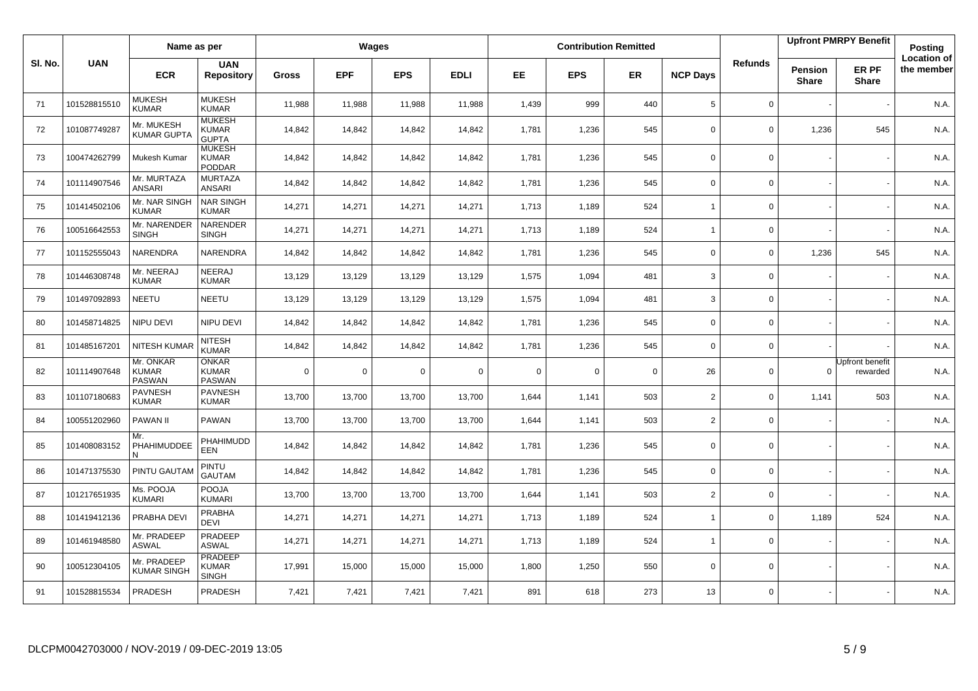|        |              | Name as per                                |                                                |              |            | Wages       |             |           |             | <b>Contribution Remitted</b> |                 |                |                                | <b>Upfront PMRPY Benefit</b> | Posting                          |
|--------|--------------|--------------------------------------------|------------------------------------------------|--------------|------------|-------------|-------------|-----------|-------------|------------------------------|-----------------|----------------|--------------------------------|------------------------------|----------------------------------|
| SI. No | <b>UAN</b>   | <b>ECR</b>                                 | <b>UAN</b><br><b>Repository</b>                | <b>Gross</b> | <b>EPF</b> | <b>EPS</b>  | <b>EDLI</b> | <b>EE</b> | <b>EPS</b>  | <b>ER</b>                    | <b>NCP Days</b> | <b>Refunds</b> | <b>Pension</b><br><b>Share</b> | ER PF<br><b>Share</b>        | <b>Location of</b><br>the member |
| 71     | 101528815510 | <b>MUKESH</b><br><b>KUMAR</b>              | <b>MUKESH</b><br><b>KUMAR</b>                  | 11,988       | 11,988     | 11,988      | 11,988      | 1,439     | 999         | 440                          | $\,$ 5 $\,$     | 0              |                                |                              | N.A.                             |
| 72     | 101087749287 | Mr. MUKESH<br><b>KUMAR GUPTA</b>           | <b>MUKESH</b><br><b>KUMAR</b><br><b>GUPTA</b>  | 14,842       | 14,842     | 14,842      | 14,842      | 1,781     | 1,236       | 545                          | $\mathbf 0$     | 0              | 1,236                          | 545                          | N.A.                             |
| 73     | 100474262799 | Mukesh Kumar                               | <b>MUKESH</b><br><b>KUMAR</b><br><b>PODDAR</b> | 14,842       | 14,842     | 14,842      | 14,842      | 1,781     | 1,236       | 545                          | $\Omega$        | $\Omega$       |                                |                              | N.A.                             |
| 74     | 101114907546 | Mr. MURTAZA<br><b>ANSARI</b>               | <b>MURTAZA</b><br><b>ANSARI</b>                | 14,842       | 14,842     | 14,842      | 14,842      | 1,781     | 1,236       | 545                          | 0               | 0              |                                |                              | N.A.                             |
| 75     | 101414502106 | Mr. NAR SINGH<br><b>KUMAR</b>              | <b>NAR SINGH</b><br><b>KUMAR</b>               | 14,271       | 14,271     | 14,271      | 14,271      | 1,713     | 1,189       | 524                          | $\overline{1}$  | 0              |                                |                              | N.A.                             |
| 76     | 100516642553 | Mr. NARENDER<br><b>SINGH</b>               | NARENDER<br><b>SINGH</b>                       | 14,271       | 14,271     | 14,271      | 14,271      | 1,713     | 1,189       | 524                          | $\overline{1}$  | 0              |                                |                              | N.A.                             |
| 77     | 101152555043 | NARENDRA                                   | NARENDRA                                       | 14,842       | 14,842     | 14,842      | 14,842      | 1,781     | 1,236       | 545                          | $\mathbf 0$     | 0              | 1,236                          | 545                          | N.A.                             |
| 78     | 101446308748 | Mr. NEERAJ<br><b>KUMAR</b>                 | NEERAJ<br><b>KUMAR</b>                         | 13,129       | 13,129     | 13,129      | 13,129      | 1,575     | 1,094       | 481                          | 3               | 0              |                                |                              | N.A.                             |
| 79     | 101497092893 | <b>NEETU</b>                               | NEETU                                          | 13,129       | 13,129     | 13,129      | 13,129      | 1,575     | 1,094       | 481                          | 3               | 0              |                                |                              | N.A.                             |
| 80     | 101458714825 | NIPU DEVI                                  | NIPU DEVI                                      | 14,842       | 14,842     | 14,842      | 14,842      | 1,781     | 1,236       | 545                          | $\mathbf 0$     | 0              |                                |                              | N.A.                             |
| 81     | 101485167201 | <b>NITESH KUMAR</b>                        | <b>NITESH</b><br><b>KUMAR</b>                  | 14,842       | 14,842     | 14,842      | 14,842      | 1,781     | 1,236       | 545                          | $\mathbf 0$     | $\mathbf 0$    |                                |                              | N.A.                             |
| 82     | 101114907648 | Mr. ONKAR<br><b>KUMAR</b><br><b>PASWAN</b> | <b>ONKAR</b><br><b>KUMAR</b><br><b>PASWAN</b>  | $\mathbf 0$  | $\Omega$   | $\mathbf 0$ | $\mathbf 0$ | $\Omega$  | $\mathbf 0$ | $\mathbf 0$                  | 26              | $\mathbf 0$    | $\Omega$                       | Upfront benefit<br>rewarded  | N.A.                             |
| 83     | 101107180683 | <b>PAVNESH</b><br><b>KUMAR</b>             | <b>PAVNESH</b><br><b>KUMAR</b>                 | 13,700       | 13,700     | 13,700      | 13,700      | 1,644     | 1,141       | 503                          | $\overline{2}$  | $\mathbf 0$    | 1,141                          | 503                          | N.A.                             |
| 84     | 100551202960 | PAWAN II                                   | <b>PAWAN</b>                                   | 13,700       | 13,700     | 13,700      | 13,700      | 1,644     | 1,141       | 503                          | $\overline{2}$  | 0              |                                |                              | N.A.                             |
| 85     | 101408083152 | Mr.<br>PHAHIMUDDEE<br>N                    | PHAHIMUDD<br>EEN                               | 14,842       | 14,842     | 14,842      | 14,842      | 1,781     | 1,236       | 545                          | $\mathbf 0$     | 0              |                                |                              | N.A.                             |
| 86     | 101471375530 | PINTU GAUTAM                               | <b>PINTU</b><br><b>GAUTAM</b>                  | 14,842       | 14,842     | 14,842      | 14,842      | 1,781     | 1,236       | 545                          | $\mathbf 0$     | 0              |                                |                              | N.A.                             |
| 87     | 101217651935 | Ms. POOJA<br><b>KUMARI</b>                 | <b>POOJA</b><br><b>KUMARI</b>                  | 13,700       | 13,700     | 13,700      | 13,700      | 1,644     | 1,141       | 503                          | 2               | 0              |                                |                              | N.A.                             |
| 88     | 101419412136 | PRABHA DEVI                                | PRABHA<br><b>DEVI</b>                          | 14,271       | 14,271     | 14,271      | 14,271      | 1,713     | 1,189       | 524                          | $\overline{1}$  | 0              | 1,189                          | 524                          | N.A.                             |
| 89     | 101461948580 | Mr. PRADEEP<br><b>ASWAL</b>                | PRADEEP<br><b>ASWAL</b>                        | 14,271       | 14,271     | 14,271      | 14,271      | 1,713     | 1,189       | 524                          | $\overline{1}$  | 0              |                                |                              | N.A.                             |
| 90     | 100512304105 | Mr. PRADEEP<br><b>KUMAR SINGH</b>          | <b>PRADEEP</b><br><b>KUMAR</b><br><b>SINGH</b> | 17,991       | 15,000     | 15,000      | 15,000      | 1,800     | 1,250       | 550                          | $\mathbf 0$     | 0              |                                |                              | N.A.                             |
| 91     | 101528815534 | PRADESH                                    | PRADESH                                        | 7,421        | 7,421      | 7,421       | 7,421       | 891       | 618         | 273                          | 13              | 0              |                                |                              | N.A.                             |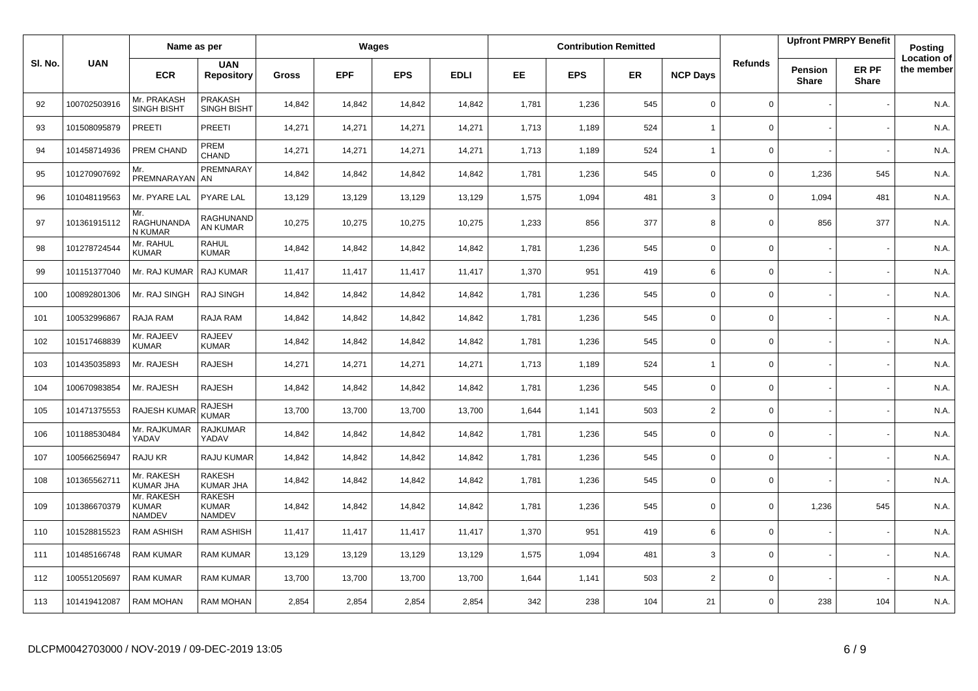|         |              | Name as per                                 |                                         |              |            | Wages      |             |       |            | <b>Contribution Remitted</b> |                 |                |                                | <b>Upfront PMRPY Benefit</b> | Posting                          |
|---------|--------------|---------------------------------------------|-----------------------------------------|--------------|------------|------------|-------------|-------|------------|------------------------------|-----------------|----------------|--------------------------------|------------------------------|----------------------------------|
| SI. No. | <b>UAN</b>   | <b>ECR</b>                                  | <b>UAN</b><br><b>Repository</b>         | <b>Gross</b> | <b>EPF</b> | <b>EPS</b> | <b>EDLI</b> | EE.   | <b>EPS</b> | ER                           | <b>NCP Days</b> | <b>Refunds</b> | <b>Pension</b><br><b>Share</b> | ER PF<br>Share               | <b>Location of</b><br>the member |
| 92      | 100702503916 | Mr. PRAKASH<br><b>SINGH BISHT</b>           | PRAKASH<br><b>SINGH BISHT</b>           | 14,842       | 14,842     | 14,842     | 14,842      | 1,781 | 1,236      | 545                          | $\mathbf 0$     | 0              |                                |                              | N.A.                             |
| 93      | 101508095879 | PREETI                                      | PREETI                                  | 14,271       | 14,271     | 14,271     | 14,271      | 1,713 | 1,189      | 524                          | $\overline{1}$  | $\mathbf 0$    |                                |                              | N.A.                             |
| 94      | 101458714936 | PREM CHAND                                  | PREM<br>CHAND                           | 14,271       | 14,271     | 14,271     | 14,271      | 1,713 | 1,189      | 524                          | $\overline{1}$  | 0              |                                |                              | N.A.                             |
| 95      | 101270907692 | Mr.<br>PREMNARAYAN AN                       | PREMNARAY                               | 14,842       | 14,842     | 14,842     | 14,842      | 1,781 | 1,236      | 545                          | $\Omega$        | 0              | 1,236                          | 545                          | N.A.                             |
| 96      | 101048119563 | Mr. PYARE LAL                               | PYARE LAL                               | 13,129       | 13,129     | 13,129     | 13,129      | 1,575 | 1,094      | 481                          | 3               | 0              | 1,094                          | 481                          | N.A.                             |
| 97      | 101361915112 | Mr.<br>RAGHUNANDA<br>N KUMAR                | RAGHUNAND<br>AN KUMAR                   | 10,275       | 10,275     | 10,275     | 10,275      | 1,233 | 856        | 377                          | 8               | 0              | 856                            | 377                          | N.A.                             |
| 98      | 101278724544 | Mr. RAHUL<br><b>KUMAR</b>                   | RAHUL<br><b>KUMAR</b>                   | 14,842       | 14,842     | 14,842     | 14,842      | 1,781 | 1,236      | 545                          | $\mathbf 0$     | 0              |                                |                              | N.A.                             |
| 99      | 101151377040 | Mr. RAJ KUMAR                               | <b>RAJ KUMAR</b>                        | 11,417       | 11,417     | 11,417     | 11,417      | 1,370 | 951        | 419                          | 6               | 0              |                                |                              | N.A.                             |
| 100     | 100892801306 | Mr. RAJ SINGH                               | <b>RAJ SINGH</b>                        | 14,842       | 14,842     | 14,842     | 14,842      | 1,781 | 1,236      | 545                          | $\mathbf 0$     | $\mathbf 0$    |                                |                              | N.A.                             |
| 101     | 100532996867 | RAJA RAM                                    | RAJA RAM                                | 14,842       | 14,842     | 14,842     | 14,842      | 1,781 | 1,236      | 545                          | $\mathbf 0$     | 0              |                                |                              | N.A.                             |
| 102     | 101517468839 | Mr. RAJEEV<br><b>KUMAR</b>                  | RAJEEV<br><b>KUMAR</b>                  | 14,842       | 14,842     | 14,842     | 14,842      | 1,781 | 1,236      | 545                          | $\mathbf 0$     | 0              |                                |                              | N.A.                             |
| 103     | 101435035893 | Mr. RAJESH                                  | <b>RAJESH</b>                           | 14,271       | 14,271     | 14,271     | 14,271      | 1,713 | 1,189      | 524                          | $\overline{1}$  | $\mathbf 0$    |                                |                              | N.A.                             |
| 104     | 100670983854 | Mr. RAJESH                                  | <b>RAJESH</b>                           | 14,842       | 14,842     | 14,842     | 14,842      | 1,781 | 1,236      | 545                          | $\mathbf 0$     | 0              |                                |                              | N.A.                             |
| 105     | 101471375553 | <b>RAJESH KUMAR</b>                         | <b>RAJESH</b><br><b>KUMAR</b>           | 13,700       | 13,700     | 13,700     | 13,700      | 1,644 | 1,141      | 503                          | $\overline{2}$  | $\mathbf 0$    |                                |                              | N.A.                             |
| 106     | 101188530484 | Mr. RAJKUMAR<br>YADAV                       | <b>RAJKUMAR</b><br>YADAV                | 14,842       | 14,842     | 14,842     | 14,842      | 1,781 | 1,236      | 545                          | $\mathbf 0$     | 0              |                                |                              | N.A.                             |
| 107     | 100566256947 | RAJU KR                                     | RAJU KUMAR                              | 14,842       | 14,842     | 14,842     | 14,842      | 1,781 | 1,236      | 545                          | $\mathbf 0$     | 0              |                                |                              | N.A.                             |
| 108     | 101365562711 | Mr. RAKESH<br>KUMAR JHA                     | <b>RAKESH</b><br>KUMAR JHA              | 14,842       | 14,842     | 14,842     | 14,842      | 1,781 | 1,236      | 545                          | $\mathbf 0$     | $\mathbf 0$    |                                |                              | N.A.                             |
| 109     | 101386670379 | Mr. RAKESH<br><b>KUMAR</b><br><b>NAMDEV</b> | <b>RAKESH</b><br><b>KUMAR</b><br>NAMDEV | 14,842       | 14,842     | 14,842     | 14,842      | 1,781 | 1,236      | 545                          | $\mathbf 0$     | $\mathbf 0$    | 1,236                          | 545                          | N.A.                             |
| 110     | 101528815523 | <b>RAM ASHISH</b>                           | <b>RAM ASHISH</b>                       | 11,417       | 11,417     | 11,417     | 11,417      | 1,370 | 951        | 419                          | 6               | 0              |                                |                              | N.A.                             |
| 111     | 101485166748 | <b>RAM KUMAR</b>                            | <b>RAM KUMAR</b>                        | 13,129       | 13,129     | 13,129     | 13,129      | 1,575 | 1,094      | 481                          | 3               | 0              |                                |                              | N.A.                             |
| 112     | 100551205697 | <b>RAM KUMAR</b>                            | <b>RAM KUMAR</b>                        | 13,700       | 13,700     | 13,700     | 13,700      | 1,644 | 1,141      | 503                          | $\overline{2}$  | 0              |                                |                              | N.A.                             |
| 113     | 101419412087 | <b>RAM MOHAN</b>                            | <b>RAM MOHAN</b>                        | 2,854        | 2,854      | 2,854      | 2,854       | 342   | 238        | 104                          | 21              | 0              | 238                            | 104                          | N.A.                             |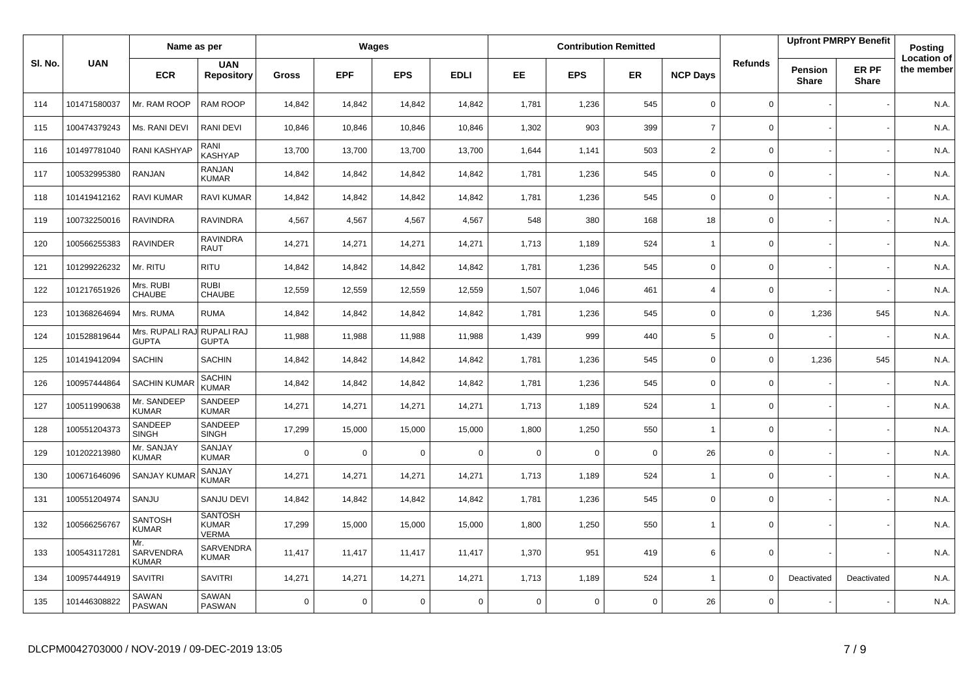|         |              | Name as per                      |                                                |             |             | Wages       |             |             |             | <b>Contribution Remitted</b> |                 |                |                                | <b>Upfront PMRPY Benefit</b> | <b>Posting</b>                   |
|---------|--------------|----------------------------------|------------------------------------------------|-------------|-------------|-------------|-------------|-------------|-------------|------------------------------|-----------------|----------------|--------------------------------|------------------------------|----------------------------------|
| SI. No. | <b>UAN</b>   | <b>ECR</b>                       | <b>UAN</b><br><b>Repository</b>                | Gross       | <b>EPF</b>  | <b>EPS</b>  | <b>EDLI</b> | <b>EE</b>   | <b>EPS</b>  | <b>ER</b>                    | <b>NCP Days</b> | <b>Refunds</b> | <b>Pension</b><br><b>Share</b> | ER PF<br><b>Share</b>        | <b>Location of</b><br>the member |
| 114     | 101471580037 | Mr. RAM ROOP                     | RAM ROOP                                       | 14,842      | 14,842      | 14,842      | 14,842      | 1,781       | 1,236       | 545                          | $\mathbf 0$     | $\mathbf{0}$   |                                |                              | N.A.                             |
| 115     | 100474379243 | Ms. RANI DEVI                    | RANI DEVI                                      | 10,846      | 10,846      | 10,846      | 10,846      | 1,302       | 903         | 399                          | $\overline{7}$  | 0              |                                |                              | N.A.                             |
| 116     | 101497781040 | <b>RANI KASHYAP</b>              | RANI<br>KASHYAP                                | 13,700      | 13,700      | 13,700      | 13,700      | 1,644       | 1,141       | 503                          | $\overline{2}$  | 0              |                                |                              | N.A.                             |
| 117     | 100532995380 | RANJAN                           | <b>RANJAN</b><br><b>KUMAR</b>                  | 14,842      | 14,842      | 14,842      | 14,842      | 1,781       | 1,236       | 545                          | $\mathbf 0$     | 0              |                                |                              | N.A.                             |
| 118     | 101419412162 | <b>RAVI KUMAR</b>                | <b>RAVI KUMAR</b>                              | 14,842      | 14,842      | 14,842      | 14,842      | 1,781       | 1,236       | 545                          | $\mathbf 0$     | 0              |                                |                              | N.A.                             |
| 119     | 100732250016 | <b>RAVINDRA</b>                  | <b>RAVINDRA</b>                                | 4,567       | 4,567       | 4.567       | 4,567       | 548         | 380         | 168                          | 18              | 0              |                                |                              | N.A.                             |
| 120     | 100566255383 | <b>RAVINDER</b>                  | RAVINDRA<br><b>RAUT</b>                        | 14,271      | 14,271      | 14,271      | 14,271      | 1,713       | 1,189       | 524                          | $\overline{1}$  | 0              |                                |                              | N.A.                             |
| 121     | 101299226232 | Mr. RITU                         | <b>RITU</b>                                    | 14,842      | 14,842      | 14.842      | 14,842      | 1,781       | 1.236       | 545                          | $\mathbf 0$     | 0              |                                |                              | N.A.                             |
| 122     | 101217651926 | Mrs. RUBI<br>CHAUBE              | <b>RUBI</b><br><b>CHAUBE</b>                   | 12,559      | 12,559      | 12,559      | 12,559      | 1,507       | 1,046       | 461                          | $\overline{4}$  | 0              |                                |                              | N.A.                             |
| 123     | 101368264694 | Mrs. RUMA                        | <b>RUMA</b>                                    | 14,842      | 14,842      | 14.842      | 14,842      | 1,781       | 1.236       | 545                          | $\mathbf 0$     | 0              | 1,236                          | 545                          | N.A.                             |
| 124     | 101528819644 | Mrs. RUPALI RAJ<br><b>GUPTA</b>  | RUPALI RAJ<br><b>GUPTA</b>                     | 11,988      | 11,988      | 11,988      | 11,988      | 1,439       | 999         | 440                          | 5               | 0              |                                |                              | N.A.                             |
| 125     | 101419412094 | <b>SACHIN</b>                    | <b>SACHIN</b>                                  | 14,842      | 14,842      | 14,842      | 14,842      | 1,781       | 1,236       | 545                          | $\mathbf 0$     | 0              | 1,236                          | 545                          | N.A.                             |
| 126     | 100957444864 | <b>SACHIN KUMAR</b>              | <b>SACHIN</b><br><b>KUMAR</b>                  | 14,842      | 14,842      | 14,842      | 14,842      | 1,781       | 1,236       | 545                          | $\mathbf 0$     | 0              |                                |                              | N.A.                             |
| 127     | 100511990638 | Mr. SANDEEP<br><b>KUMAR</b>      | SANDEEP<br><b>KUMAR</b>                        | 14,271      | 14,271      | 14,271      | 14,271      | 1,713       | 1,189       | 524                          | $\overline{1}$  | $\mathbf{0}$   |                                |                              | N.A.                             |
| 128     | 100551204373 | SANDEEP<br><b>SINGH</b>          | SANDEEP<br><b>SINGH</b>                        | 17,299      | 15,000      | 15,000      | 15,000      | 1,800       | 1,250       | 550                          | $\overline{1}$  | 0              |                                |                              | N.A.                             |
| 129     | 101202213980 | Mr. SANJAY<br><b>KUMAR</b>       | SANJAY<br><b>KUMAR</b>                         | $\mathbf 0$ | $\mathbf 0$ | $\mathbf 0$ | $\mathbf 0$ | $\mathbf 0$ | $\mathbf 0$ | $\mathbf 0$                  | 26              | $\mathbf{0}$   |                                |                              | N.A.                             |
| 130     | 100671646096 | <b>SANJAY KUMAR</b>              | SANJAY<br><b>KUMAR</b>                         | 14,271      | 14,271      | 14,271      | 14,271      | 1,713       | 1,189       | 524                          | $\overline{1}$  | 0              |                                |                              | N.A.                             |
| 131     | 100551204974 | SANJU                            | SANJU DEVI                                     | 14,842      | 14,842      | 14,842      | 14,842      | 1,781       | 1,236       | 545                          | $\mathbf 0$     | $\mathbf{0}$   |                                |                              | N.A.                             |
| 132     | 100566256767 | <b>SANTOSH</b><br><b>KUMAR</b>   | <b>SANTOSH</b><br><b>KUMAR</b><br><b>VERMA</b> | 17,299      | 15,000      | 15,000      | 15,000      | 1,800       | 1,250       | 550                          | $\overline{1}$  | 0              |                                |                              | N.A.                             |
| 133     | 100543117281 | Mr.<br>SARVENDRA<br><b>KUMAR</b> | SARVENDRA<br><b>KUMAR</b>                      | 11,417      | 11,417      | 11,417      | 11,417      | 1,370       | 951         | 419                          | 6               | 0              |                                |                              | N.A.                             |
| 134     | 100957444919 | <b>SAVITRI</b>                   | <b>SAVITRI</b>                                 | 14,271      | 14,271      | 14,271      | 14,271      | 1,713       | 1,189       | 524                          | $\overline{1}$  | $\Omega$       | Deactivated                    | Deactivated                  | N.A.                             |
| 135     | 101446308822 | SAWAN<br><b>PASWAN</b>           | SAWAN<br>PASWAN                                | $\mathbf 0$ | $\Omega$    | 0           | $\mathbf 0$ | $\Omega$    | $\mathbf 0$ | $\mathbf 0$                  | 26              | $\mathbf 0$    |                                |                              | N.A.                             |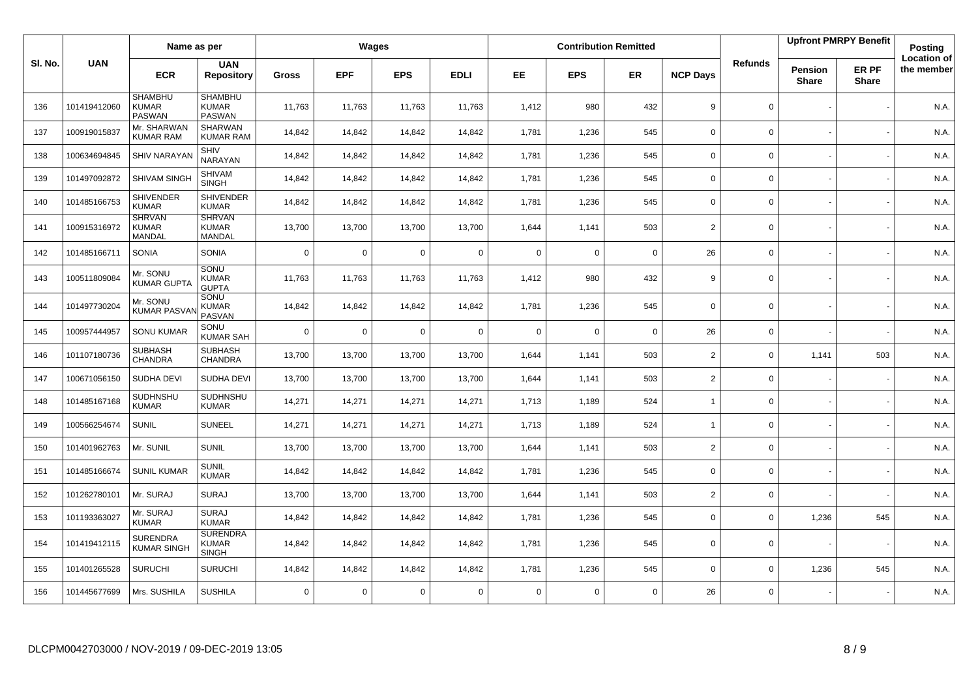|        |              | Name as per                                     |                                                 |              |             | Wages       |             |             |             | <b>Contribution Remitted</b> |                 |                |                         | <b>Upfront PMRPY Benefit</b> | Posting                          |
|--------|--------------|-------------------------------------------------|-------------------------------------------------|--------------|-------------|-------------|-------------|-------------|-------------|------------------------------|-----------------|----------------|-------------------------|------------------------------|----------------------------------|
| SI. No | <b>UAN</b>   | <b>ECR</b>                                      | <b>UAN</b><br><b>Repository</b>                 | <b>Gross</b> | <b>EPF</b>  | <b>EPS</b>  | <b>EDLI</b> | <b>EE</b>   | <b>EPS</b>  | ER                           | <b>NCP Days</b> | <b>Refunds</b> | Pension<br><b>Share</b> | ER PF<br><b>Share</b>        | <b>Location of</b><br>the member |
| 136    | 101419412060 | <b>SHAMBHU</b><br><b>KUMAR</b><br><b>PASWAN</b> | <b>SHAMBHU</b><br><b>KUMAR</b><br>PASWAN        | 11,763       | 11,763      | 11,763      | 11,763      | 1,412       | 980         | 432                          | 9               | $\mathbf 0$    |                         |                              | N.A.                             |
| 137    | 100919015837 | Mr. SHARWAN<br><b>KUMAR RAM</b>                 | <b>SHARWAN</b><br><b>KUMAR RAM</b>              | 14,842       | 14,842      | 14,842      | 14,842      | 1,781       | 1,236       | 545                          | $\mathbf 0$     | 0              |                         |                              | N.A.                             |
| 138    | 100634694845 | <b>SHIV NARAYAN</b>                             | SHIV<br>NARAYAN                                 | 14,842       | 14,842      | 14,842      | 14,842      | 1,781       | 1,236       | 545                          | $\mathbf 0$     | 0              |                         |                              | N.A.                             |
| 139    | 101497092872 | SHIVAM SINGH                                    | SHIVAM<br><b>SINGH</b>                          | 14,842       | 14,842      | 14,842      | 14,842      | 1,781       | 1,236       | 545                          | $\mathbf 0$     | 0              |                         |                              | N.A.                             |
| 140    | 101485166753 | <b>SHIVENDER</b><br><b>KUMAR</b>                | <b>SHIVENDER</b><br><b>KUMAR</b>                | 14,842       | 14,842      | 14,842      | 14,842      | 1,781       | 1,236       | 545                          | $\Omega$        | 0              |                         |                              | N.A.                             |
| 141    | 100915316972 | <b>SHRVAN</b><br><b>KUMAR</b><br>MANDAL         | <b>SHRVAN</b><br><b>KUMAR</b><br>MANDAL         | 13,700       | 13,700      | 13,700      | 13,700      | 1,644       | 1,141       | 503                          | 2               | 0              |                         |                              | N.A.                             |
| 142    | 101485166711 | <b>SONIA</b>                                    | <b>SONIA</b>                                    | $\mathbf 0$  | $\mathbf 0$ | $\mathbf 0$ | $\mathbf 0$ | $\mathbf 0$ | $\Omega$    | $\mathbf 0$                  | 26              | $\mathbf 0$    |                         |                              | N.A.                             |
| 143    | 100511809084 | Mr. SONU<br><b>KUMAR GUPTA</b>                  | SONU<br><b>KUMAR</b><br><b>GUPTA</b>            | 11,763       | 11,763      | 11,763      | 11,763      | 1,412       | 980         | 432                          | 9               | 0              |                         |                              | N.A.                             |
| 144    | 101497730204 | Mr. SONU<br><b>KUMAR PASV/</b>                  | SONU<br><b>KUMAR</b><br><b>PASVAN</b>           | 14,842       | 14,842      | 14,842      | 14,842      | 1,781       | 1,236       | 545                          | $\mathbf 0$     | $\mathbf 0$    |                         |                              | N.A.                             |
| 145    | 100957444957 | <b>SONU KUMAR</b>                               | SONU<br><b>KUMAR SAH</b>                        | $\mathbf 0$  | $\Omega$    | $\mathbf 0$ | $\mathbf 0$ | $\Omega$    | $\mathbf 0$ | $\mathbf 0$                  | 26              | $\Omega$       |                         |                              | N.A.                             |
| 146    | 101107180736 | <b>SUBHASH</b><br><b>CHANDRA</b>                | <b>SUBHASH</b><br>CHANDRA                       | 13,700       | 13,700      | 13,700      | 13,700      | 1,644       | 1,141       | 503                          | $\overline{2}$  | $\mathbf 0$    | 1,141                   | 503                          | N.A.                             |
| 147    | 100671056150 | SUDHA DEVI                                      | SUDHA DEVI                                      | 13,700       | 13,700      | 13,700      | 13,700      | 1,644       | 1,141       | 503                          | 2               | 0              |                         |                              | N.A.                             |
| 148    | 101485167168 | SUDHNSHU<br><b>KUMAR</b>                        | SUDHNSHU<br><b>KUMAR</b>                        | 14,271       | 14,271      | 14,271      | 14,271      | 1,713       | 1,189       | 524                          | $\overline{1}$  | $\Omega$       |                         |                              | N.A.                             |
| 149    | 100566254674 | <b>SUNIL</b>                                    | <b>SUNEEL</b>                                   | 14,271       | 14,271      | 14,271      | 14,271      | 1,713       | 1,189       | 524                          | $\overline{1}$  | 0              |                         |                              | N.A.                             |
| 150    | 101401962763 | Mr. SUNIL                                       | <b>SUNIL</b>                                    | 13,700       | 13,700      | 13,700      | 13,700      | 1,644       | 1,141       | 503                          | 2               | 0              |                         |                              | N.A.                             |
| 151    | 101485166674 | <b>SUNIL KUMAR</b>                              | <b>SUNIL</b><br><b>KUMAR</b>                    | 14,842       | 14,842      | 14,842      | 14,842      | 1,781       | 1,236       | 545                          | $\mathsf 0$     | 0              |                         |                              | N.A.                             |
| 152    | 101262780101 | Mr. SURAJ                                       | <b>SURAJ</b>                                    | 13,700       | 13,700      | 13,700      | 13,700      | 1,644       | 1,141       | 503                          | $\overline{2}$  | 0              |                         |                              | N.A.                             |
| 153    | 101193363027 | Mr. SURAJ<br><b>KUMAR</b>                       | <b>SURAJ</b><br><b>KUMAR</b>                    | 14,842       | 14,842      | 14,842      | 14,842      | 1,781       | 1,236       | 545                          | $\mathbf 0$     | 0              | 1,236                   | 545                          | N.A.                             |
| 154    | 101419412115 | <b>SURENDRA</b><br><b>KUMAR SINGH</b>           | <b>SURENDRA</b><br><b>KUMAR</b><br><b>SINGH</b> | 14,842       | 14,842      | 14,842      | 14,842      | 1,781       | 1,236       | 545                          | $\mathbf 0$     | $\mathbf 0$    |                         |                              | N.A.                             |
| 155    | 101401265528 | <b>SURUCHI</b>                                  | <b>SURUCHI</b>                                  | 14,842       | 14,842      | 14,842      | 14,842      | 1,781       | 1,236       | 545                          | $\mathbf 0$     | $\mathbf 0$    | 1,236                   | 545                          | N.A.                             |
| 156    | 101445677699 | Mrs. SUSHILA                                    | <b>SUSHILA</b>                                  | $\mathbf 0$  | $\mathbf 0$ | $\mathbf 0$ | $\mathbf 0$ | $\Omega$    | $\mathbf 0$ | $\mathbf 0$                  | 26              | 0              |                         |                              | N.A.                             |